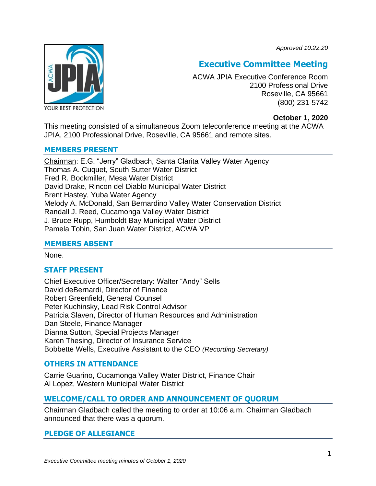*Approved 10.22.20*



# **Executive Committee Meeting**

ACWA JPIA Executive Conference Room 2100 Professional Drive Roseville, CA 95661 (800) 231-5742

**October 1, 2020**

This meeting consisted of a simultaneous Zoom teleconference meeting at the ACWA JPIA, 2100 Professional Drive, Roseville, CA 95661 and remote sites.

# **MEMBERS PRESENT**

Chairman: E.G. "Jerry" Gladbach, Santa Clarita Valley Water Agency Thomas A. Cuquet, South Sutter Water District Fred R. Bockmiller, Mesa Water District David Drake, Rincon del Diablo Municipal Water District Brent Hastey, Yuba Water Agency Melody A. McDonald, San Bernardino Valley Water Conservation District Randall J. Reed, Cucamonga Valley Water District J. Bruce Rupp, Humboldt Bay Municipal Water District Pamela Tobin, San Juan Water District, ACWA VP

# **MEMBERS ABSENT**

None.

# **STAFF PRESENT**

Chief Executive Officer/Secretary: Walter "Andy" Sells David deBernardi, Director of Finance Robert Greenfield, General Counsel Peter Kuchinsky, Lead Risk Control Advisor Patricia Slaven, Director of Human Resources and Administration Dan Steele, Finance Manager Dianna Sutton, Special Projects Manager Karen Thesing, Director of Insurance Service Bobbette Wells, Executive Assistant to the CEO *(Recording Secretary)*

# **OTHERS IN ATTENDANCE**

Carrie Guarino, Cucamonga Valley Water District, Finance Chair Al Lopez, Western Municipal Water District

# **WELCOME/CALL TO ORDER AND ANNOUNCEMENT OF QUORUM**

Chairman Gladbach called the meeting to order at 10:06 a.m. Chairman Gladbach announced that there was a quorum.

# **PLEDGE OF ALLEGIANCE**